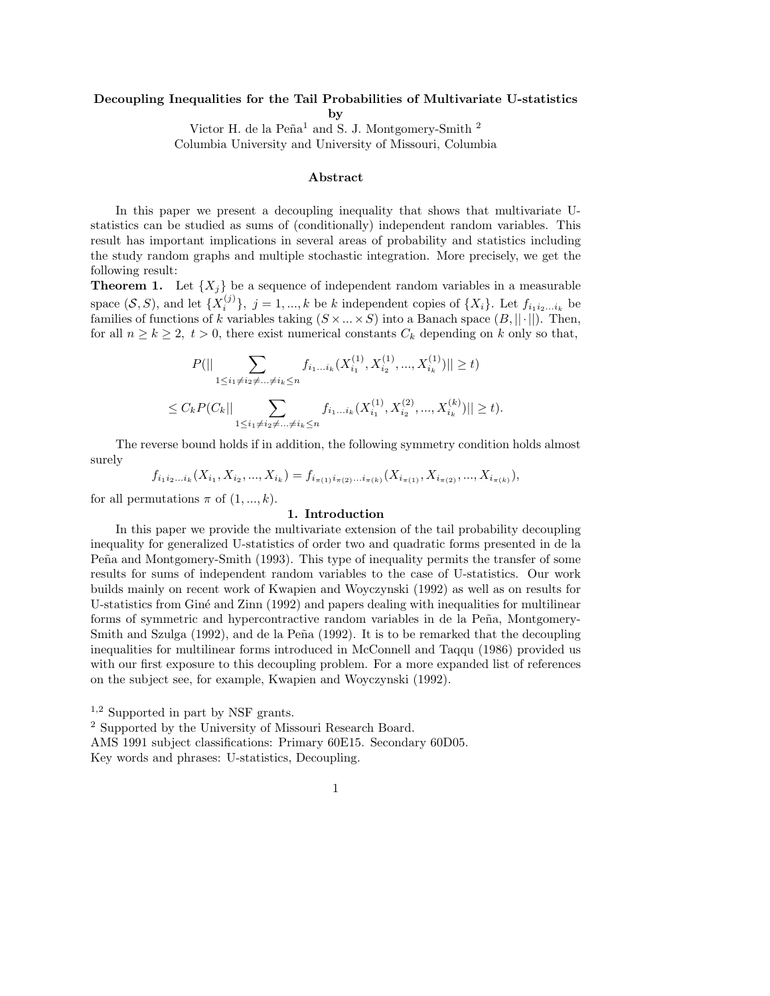### Decoupling Inequalities for the Tail Probabilities of Multivariate U-statistics

by

Victor H. de la  $\text{Peña}^1$  and S. J. Montgomery-Smith <sup>2</sup> Columbia University and University of Missouri, Columbia

### Abstract

In this paper we present a decoupling inequality that shows that multivariate Ustatistics can be studied as sums of (conditionally) independent random variables. This result has important implications in several areas of probability and statistics including the study random graphs and multiple stochastic integration. More precisely, we get the following result:

**Theorem 1.** Let  $\{X_j\}$  be a sequence of independent random variables in a measurable space  $(S, S)$ , and let  $\{X_i^{(j)}\}$  $\{i_j^{(j)}\}, j = 1, ..., k$  be k independent copies of  $\{X_i\}$ . Let  $f_{i_1 i_2...i_k}$  be families of functions of k variables taking  $(S \times ... \times S)$  into a Banach space  $(B, ||\cdot||)$ . Then, for all  $n \ge k \ge 2$ ,  $t > 0$ , there exist numerical constants  $C_k$  depending on k only so that,

$$
P(|| \sum_{1 \le i_1 \ne i_2 \ne \dots \ne i_k \le n} f_{i_1 \dots i_k}(X_{i_1}^{(1)}, X_{i_2}^{(1)}, ..., X_{i_k}^{(1)})|| \ge t)
$$
  

$$
\le C_k P(C_k || \sum_{1 \le i_1 \ne i_2 \ne \dots \ne i_k \le n} f_{i_1 \dots i_k}(X_{i_1}^{(1)}, X_{i_2}^{(2)}, ..., X_{i_k}^{(k)})|| \ge t).
$$

The reverse bound holds if in addition, the following symmetry condition holds almost surely

$$
f_{i_1i_2...i_k}(X_{i_1}, X_{i_2},..., X_{i_k}) = f_{i_{\pi(1)}i_{\pi(2)}...i_{\pi(k)}}(X_{i_{\pi(1)}}, X_{i_{\pi(2)}},..., X_{i_{\pi(k)}}),
$$

for all permutations  $\pi$  of  $(1, ..., k)$ .

#### 1. Introduction

In this paper we provide the multivariate extension of the tail probability decoupling inequality for generalized U-statistics of order two and quadratic forms presented in de la Peña and Montgomery-Smith (1993). This type of inequality permits the transfer of some results for sums of independent random variables to the case of U-statistics. Our work builds mainly on recent work of Kwapien and Woyczynski (1992) as well as on results for U-statistics from Giné and Zinn (1992) and papers dealing with inequalities for multilinear forms of symmetric and hypercontractive random variables in de la Peña, Montgomery-Smith and Szulga  $(1992)$ , and de la Peña  $(1992)$ . It is to be remarked that the decoupling inequalities for multilinear forms introduced in McConnell and Taqqu (1986) provided us with our first exposure to this decoupling problem. For a more expanded list of references on the subject see, for example, Kwapien and Woyczynski (1992).

1,2 Supported in part by NSF grants.

2 Supported by the University of Missouri Research Board.

AMS 1991 subject classifications: Primary 60E15. Secondary 60D05.

Key words and phrases: U-statistics, Decoupling.

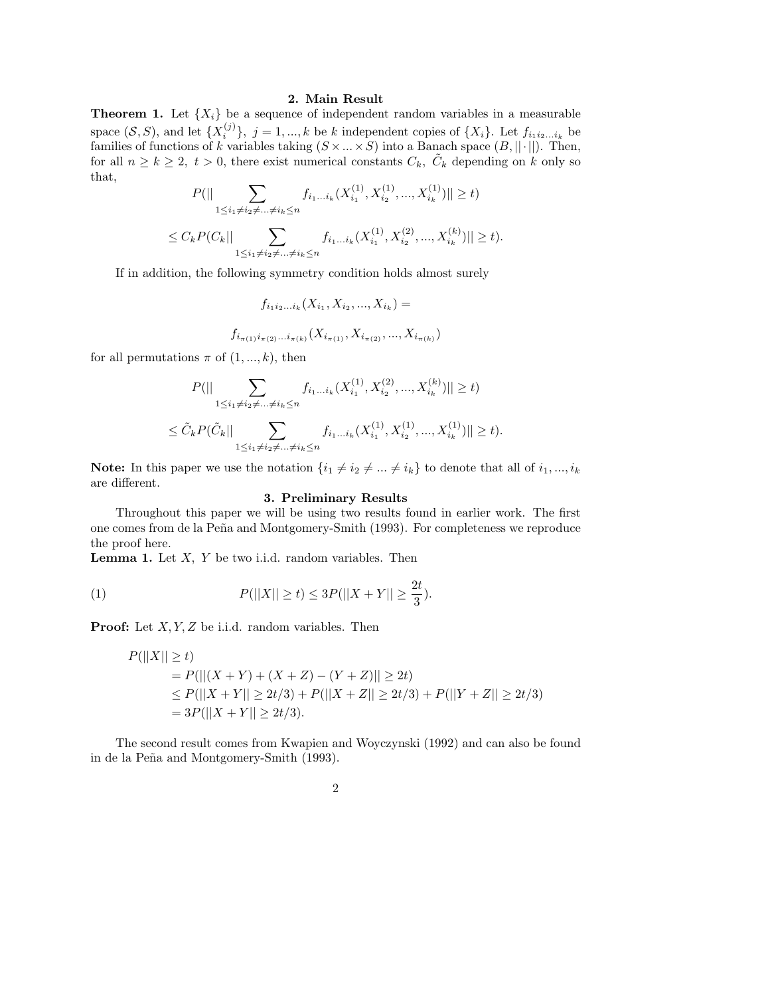#### 2. Main Result

**Theorem 1.** Let  $\{X_i\}$  be a sequence of independent random variables in a measurable space  $(S, S)$ , and let  $\{X_i^{(j)}\}$  $\{i_j^{(j)}\}, j = 1, ..., k$  be k independent copies of  $\{X_i\}$ . Let  $f_{i_1 i_2...i_k}$  be families of functions of k variables taking  $(S \times ... \times S)$  into a Banach space  $(B, ||\cdot||)$ . Then, for all  $n \geq k \geq 2$ ,  $t > 0$ , there exist numerical constants  $C_k$ ,  $\tilde{C}_k$  depending on k only so that,

$$
P(||\sum_{1 \le i_1 \ne i_2 \ne \dots \ne i_k \le n} f_{i_1 \dots i_k}(X_{i_1}^{(1)}, X_{i_2}^{(1)}, ..., X_{i_k}^{(1)})|| \ge t)
$$
  

$$
\le C_k P(C_k || \sum_{1 \le i_1 \ne i_2 \ne \dots \ne i_k \le n} f_{i_1 \dots i_k}(X_{i_1}^{(1)}, X_{i_2}^{(2)}, ..., X_{i_k}^{(k)})|| \ge t).
$$

If in addition, the following symmetry condition holds almost surely

$$
f_{i_1 i_2...i_k}(X_{i_1}, X_{i_2}, ..., X_{i_k}) =
$$
  

$$
f_{i_{\pi(1)} i_{\pi(2)}...i_{\pi(k)}}(X_{i_{\pi(1)}}, X_{i_{\pi(2)}}, ..., X_{i_{\pi(k)}})
$$

for all permutations  $\pi$  of  $(1, ..., k)$ , then

$$
P(||\sum_{1 \le i_1 \ne i_2 \ne \dots \ne i_k \le n} f_{i_1 \dots i_k}(X_{i_1}^{(1)}, X_{i_2}^{(2)}, \dots, X_{i_k}^{(k)})|| \ge t)
$$
  

$$
\le \tilde{C}_k P(\tilde{C}_k || \sum_{1 \le i_1 \ne i_2 \ne \dots \ne i_k \le n} f_{i_1 \dots i_k}(X_{i_1}^{(1)}, X_{i_2}^{(1)}, \dots, X_{i_k}^{(1)})|| \ge t).
$$

Note: In this paper we use the notation  $\{i_1 \neq i_2 \neq \ldots \neq i_k\}$  to denote that all of  $i_1, ..., i_k$ are different.

#### 3. Preliminary Results

Throughout this paper we will be using two results found in earlier work. The first one comes from de la Peña and Montgomery-Smith (1993). For completeness we reproduce the proof here.

**Lemma 1.** Let  $X$ ,  $Y$  be two i.i.d. random variables. Then

(1) 
$$
P(||X|| \ge t) \le 3P(||X + Y|| \ge \frac{2t}{3}).
$$

**Proof:** Let  $X, Y, Z$  be i.i.d. random variables. Then

$$
P(||X|| \ge t)
$$
  
=  $P(||(X + Y) + (X + Z) - (Y + Z)|| \ge 2t)$   
 $\le P(||X + Y|| \ge 2t/3) + P(||X + Z|| \ge 2t/3) + P(||Y + Z|| \ge 2t/3)$   
=  $3P(||X + Y|| \ge 2t/3).$ 

The second result comes from Kwapien and Woyczynski (1992) and can also be found in de la Peña and Montgomery-Smith (1993).

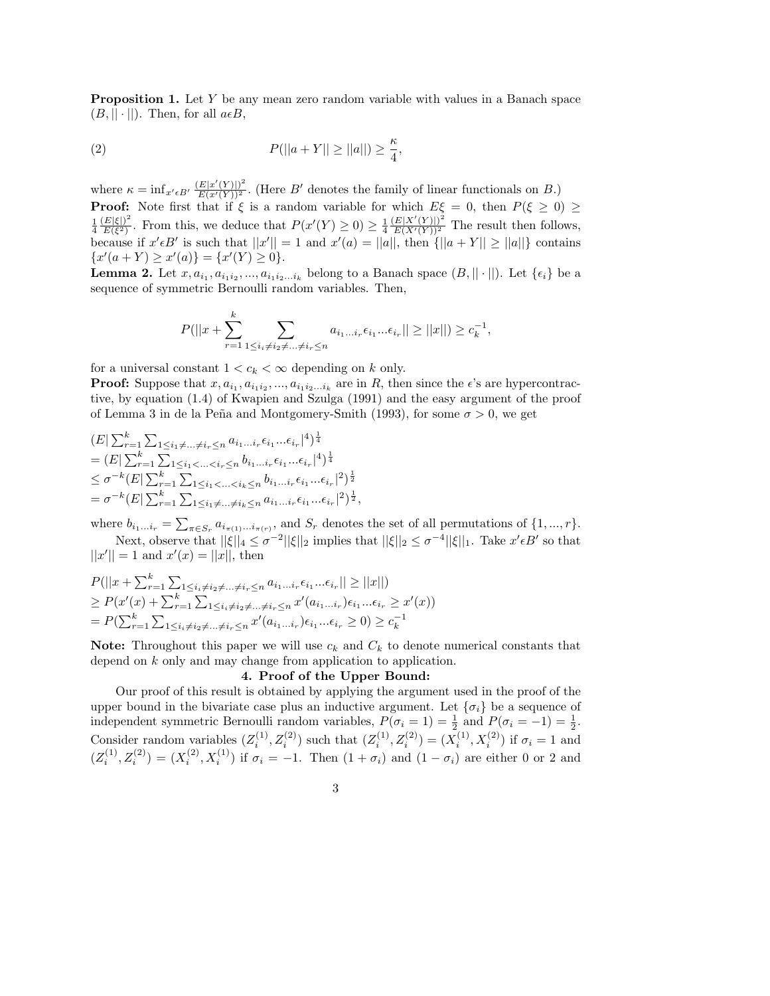Proposition 1. Let Y be any mean zero random variable with values in a Banach space  $(B, || \cdot ||)$ . Then, for all  $a \in B$ ,

(2) 
$$
P(||a+Y|| \ge ||a||) \ge \frac{\kappa}{4},
$$

where  $\kappa = \inf_{x' \in B'} \frac{(E|x'(Y)|)^2}{E(x'(Y))^2}$  $\frac{[E|x'(Y)|]^2}{E(x'(Y))^2}$ . (Here B' denotes the family of linear functionals on B.) **Proof:** Note first that if  $\xi$  is a random variable for which  $E\xi = 0$ , then  $P(\xi \ge 0) \ge$ 1 4  $(E|\xi|)^2$  $\frac{E|\xi|}{E(\xi^2)}$ . From this, we deduce that  $P(x'(Y) \geq 0) \geq \frac{1}{4}$ 4  $(E|X'(Y)|)^2$  $\frac{E[X(Y)]}{E(X'(Y))^2}$  The result then follows, because if  $x'\in B'$  is such that  $||x'|| = 1$  and  $x'(a) = ||a||$ , then  $\{||a + Y|| \ge ||a||\}$  contains  ${x'(a+Y) \geq x'(a)} = {x'(Y) \geq 0}.$ 

**Lemma 2.** Let  $x, a_{i_1}, a_{i_1 i_2}, ..., a_{i_1 i_2 ... i_k}$  belong to a Banach space  $(B, || \cdot ||)$ . Let  $\{\epsilon_i\}$  be a sequence of symmetric Bernoulli random variables. Then,

$$
P(||x + \sum_{r=1}^{k} \sum_{1 \le i_i \ne i_2 \ne \dots \ne i_r \le n} a_{i_1 \dots i_r} \epsilon_{i_1} \dots \epsilon_{i_r} || \ge ||x||) \ge c_k^{-1},
$$

for a universal constant  $1 < c_k < \infty$  depending on k only.

**Proof:** Suppose that  $x, a_{i_1}, a_{i_1 i_2}, ..., a_{i_1 i_2 ... i_k}$  are in  $R$ , then since the  $\epsilon$ 's are hypercontractive, by equation (1.4) of Kwapien and Szulga (1991) and the easy argument of the proof of Lemma 3 in de la Peña and Montgomery-Smith (1993), for some  $\sigma > 0$ , we get

$$
(E|\sum_{r=1}^{k}\sum_{1\leq i_{1}\neq...\neq i_{r}\leq n} a_{i_{1}...i_{r}}\epsilon_{i_{1}}...\epsilon_{i_{r}}|^{4})^{\frac{1}{4}}
$$
  
= 
$$
(E|\sum_{r=1}^{k}\sum_{1\leq i_{1}<...  

$$
\leq \sigma^{-k}(E|\sum_{r=1}^{k}\sum_{1\leq i_{1}<...  
= 
$$
\sigma^{-k}(E|\sum_{r=1}^{k}\sum_{1\leq i_{1}\neq...\neq i_{k}\leq n} a_{i_{1}...i_{r}}\epsilon_{i_{1}}...\epsilon_{i_{r}}|^{2})^{\frac{1}{2}},
$$
$$
$$

where  $b_{i_1...i_r} = \sum_{\pi \in S_r} a_{i_{\pi(1)}...i_{\pi(r)}},$  and  $S_r$  denotes the set of all permutations of  $\{1,...,r\}.$ Next, observe that  $||\xi||_4 \leq \sigma^{-2} ||\xi||_2$  implies that  $||\xi||_2 \leq \sigma^{-4} ||\xi||_1$ . Take  $x' \in B'$  so that  $||x'|| = 1$  and  $x'(x) = ||x||$ , then

$$
P(||x + \sum_{r=1}^{k} \sum_{1 \le i_i \ne i_2 \ne \dots \ne i_r \le n} a_{i_1 \dots i_r} \epsilon_{i_1} \dots \epsilon_{i_r}|| \ge ||x||)
$$
  
\n
$$
\ge P(x'(x) + \sum_{r=1}^{k} \sum_{1 \le i_i \ne i_2 \ne \dots \ne i_r \le n} x'(a_{i_1 \dots i_r}) \epsilon_{i_1} \dots \epsilon_{i_r} \ge x'(x))
$$
  
\n
$$
= P(\sum_{r=1}^{k} \sum_{1 \le i_i \ne i_2 \ne \dots \ne i_r \le n} x'(a_{i_1 \dots i_r}) \epsilon_{i_1} \dots \epsilon_{i_r} \ge 0) \ge c_k^{-1}
$$

**Note:** Throughout this paper we will use  $c_k$  and  $C_k$  to denote numerical constants that depend on k only and may change from application to application.

# 4. Proof of the Upper Bound:

Our proof of this result is obtained by applying the argument used in the proof of the upper bound in the bivariate case plus an inductive argument. Let  $\{\sigma_i\}$  be a sequence of independent symmetric Bernoulli random variables,  $P(\sigma_i = 1) = \frac{1}{2}$  and  $P(\sigma_i = -1) = \frac{1}{2}$ . Consider random variables  $(Z_i^{(1)})$  $z_i^{(1)}, Z_i^{(2)}$ ) such that  $(Z_i^{(1)})$  $Z_i^{(1)}, Z_i^{(2)}$ ) =  $(X_i^{(1)}$  $f_i^{(1)}, X_i^{(2)}$  if  $\sigma_i = 1$  and  $(Z_i^{(1)}$  $x_i^{(1)}, Z_i^{(2)}$ ) =  $(X_i^{(2)}$  $i^{(2)}$ ,  $X_i^{(1)}$ ) if  $\sigma_i = -1$ . Then  $(1 + \sigma_i)$  and  $(1 - \sigma_i)$  are either 0 or 2 and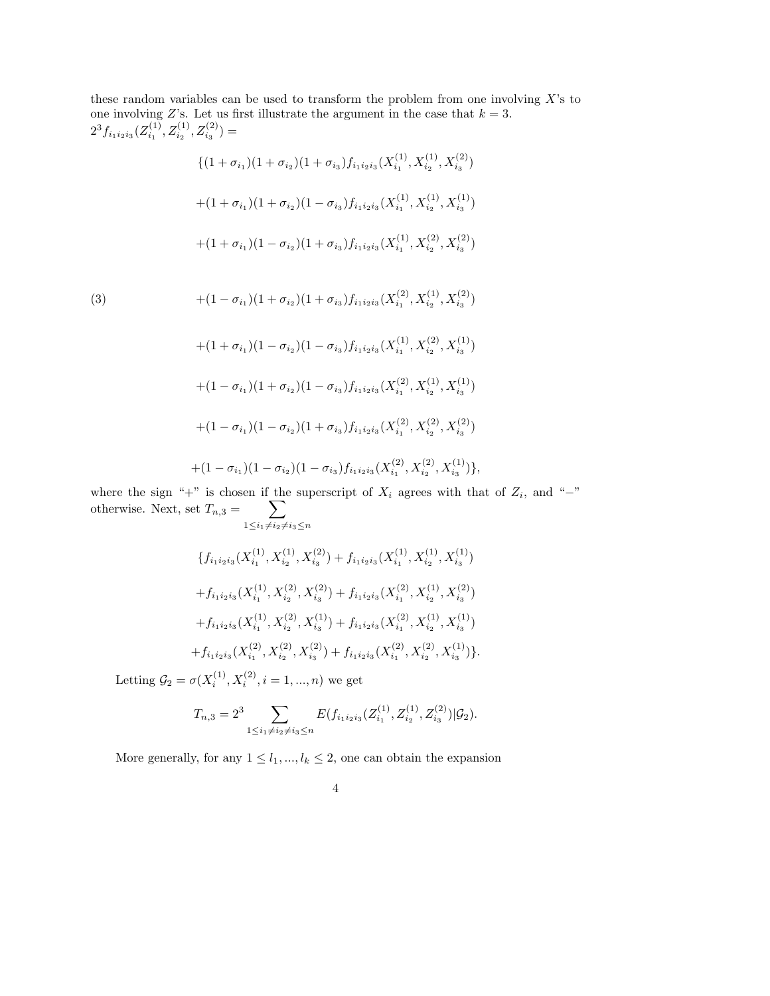these random variables can be used to transform the problem from one involving  $X$ 's to one involving Z's. Let us first illustrate the argument in the case that  $k = 3$ .  $2^3 f_{i_1 i_2 i_3} (Z^{\left( 1 \right)}_{i_1}$  $Z_{i_1}^{(1)}, Z_{i_2}^{(1)}, Z_{i_3}^{(2)}) =$ 

$$
\begin{aligned} & \{ (1 + \sigma_{i_1})(1 + \sigma_{i_2})(1 + \sigma_{i_3})f_{i_1i_2i_3}(X_{i_1}^{(1)}, X_{i_2}^{(1)}, X_{i_3}^{(2)}) \\ & + (1 + \sigma_{i_1})(1 + \sigma_{i_2})(1 - \sigma_{i_3})f_{i_1i_2i_3}(X_{i_1}^{(1)}, X_{i_2}^{(1)}, X_{i_3}^{(1)}) \\ & + (1 + \sigma_{i_1})(1 - \sigma_{i_2})(1 + \sigma_{i_3})f_{i_1i_2i_3}(X_{i_1}^{(1)}, X_{i_2}^{(2)}, X_{i_3}^{(2)}) \end{aligned}
$$

(3)  
\n
$$
+(1 - \sigma_{i_1})(1 + \sigma_{i_2})(1 + \sigma_{i_3})f_{i_1i_2i_3}(X_{i_1}^{(2)}, X_{i_2}^{(1)}, X_{i_3}^{(2)})
$$
\n
$$
+(1 + \sigma_{i_1})(1 - \sigma_{i_2})(1 - \sigma_{i_3})f_{i_1i_2i_3}(X_{i_1}^{(1)}, X_{i_2}^{(2)}, X_{i_3}^{(1)})
$$
\n
$$
+(1 - \sigma_{i_1})(1 + \sigma_{i_2})(1 - \sigma_{i_3})f_{i_1i_2i_3}(X_{i_1}^{(2)}, X_{i_2}^{(1)}, X_{i_3}^{(1)})
$$
\n
$$
+(1 - \sigma_{i_1})(1 - \sigma_{i_2})(1 + \sigma_{i_3})f_{i_1i_2i_3}(X_{i_1}^{(2)}, X_{i_2}^{(2)}, X_{i_3}^{(2)})
$$
\n
$$
+(1 - \sigma_{i_1})(1 - \sigma_{i_2})(1 - \sigma_{i_3})f_{i_1i_2i_3}(X_{i_1}^{(2)}, X_{i_2}^{(2)}, X_{i_3}^{(1)})
$$

where the sign "+" is chosen if the superscript of  $X_i$  agrees with that of  $Z_i$ , and "-" otherwise. Next, set  $T_{n,3} = \sum$  $1\leq i_1\neq i_2\neq i_3\leq n$ 

$$
\{f_{i_1i_2i_3}(X_{i_1}^{(1)}, X_{i_2}^{(1)}, X_{i_3}^{(2)}) + f_{i_1i_2i_3}(X_{i_1}^{(1)}, X_{i_2}^{(1)}, X_{i_3}^{(1)}) + f_{i_1i_2i_3}(X_{i_1}^{(1)}, X_{i_2}^{(2)}, X_{i_3}^{(2)}) + f_{i_1i_2i_3}(X_{i_1}^{(2)}, X_{i_2}^{(1)}, X_{i_3}^{(2)}) + f_{i_1i_2i_3}(X_{i_1}^{(1)}, X_{i_2}^{(2)}, X_{i_3}^{(1)}) + f_{i_1i_2i_3}(X_{i_1}^{(2)}, X_{i_2}^{(1)}, X_{i_3}^{(1)}) + f_{i_1i_2i_3}(X_{i_1}^{(2)}, X_{i_2}^{(2)}, X_{i_3}^{(2)}) + f_{i_1i_2i_3}(X_{i_1}^{(2)}, X_{i_2}^{(2)}, X_{i_3}^{(1)})\}.
$$

Letting  $\mathcal{G}_2 = \sigma(X_i^{(1)})$  $x_i^{(1)}, X_i^{(2)}, i = 1, ..., n$ ) we get

$$
T_{n,3} = 2^3 \sum_{1 \le i_1 \ne i_2 \ne i_3 \le n} E(f_{i_1 i_2 i_3}(Z_{i_1}^{(1)}, Z_{i_2}^{(1)}, Z_{i_3}^{(2)}) | \mathcal{G}_2).
$$

More generally, for any  $1\leq l_1,...,l_k\leq 2,$  one can obtain the expansion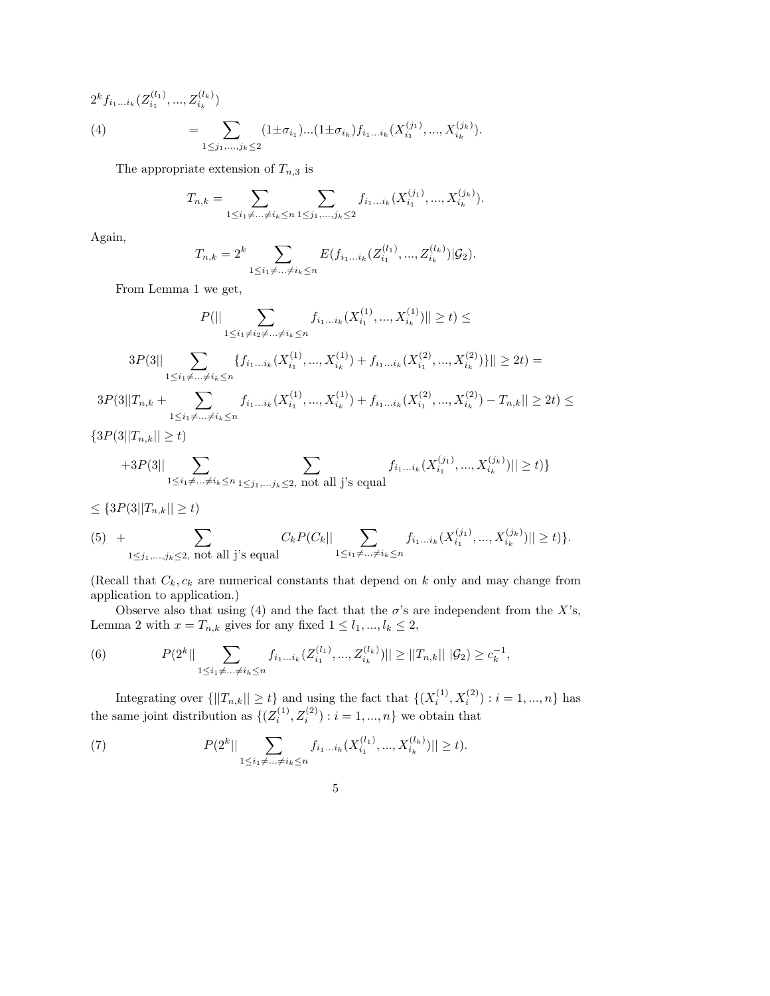$$
2^{k} f_{i_{1}...i_{k}}(Z_{i_{1}}^{(l_{1})},...,Z_{i_{k}}^{(l_{k})})
$$
\n
$$
(4) \qquad = \sum_{1 \leq j_{1},...,j_{k} \leq 2} (1 \pm \sigma_{i_{1}})...(1 \pm \sigma_{i_{k}}) f_{i_{1}...i_{k}}(X_{i_{1}}^{(j_{1})},...,X_{i_{k}}^{(j_{k})}).
$$

The appropriate extension of  $T_{n,3}$  is

$$
T_{n,k} = \sum_{1 \leq i_1 \neq \ldots \neq i_k \leq n} \sum_{1 \leq j_1, \ldots, j_k \leq 2} f_{i_1 \ldots i_k}(X_{i_1}^{(j_1)}, \ldots, X_{i_k}^{(j_k)}).
$$

Again,

$$
T_{n,k} = 2^k \sum_{1 \le i_1 \ne \dots \ne i_k \le n} E(f_{i_1 \dots i_k}(Z_{i_1}^{(l_1)}, ..., Z_{i_k}^{(l_k)}) | \mathcal{G}_2).
$$

From Lemma 1 we get,

$$
P(||\sum_{1 \leq i_1 \neq i_2 \neq \dots \neq i_k \leq n} f_{i_1 \dots i_k}(X_{i_1}^{(1)}, ..., X_{i_k}^{(1)})|| \geq t) \leq
$$
  

$$
3P(3||\sum_{1 \leq i_1 \neq \dots \neq i_k \leq n} \{f_{i_1 \dots i_k}(X_{i_1}^{(1)}, ..., X_{i_k}^{(1)}) + f_{i_1 \dots i_k}(X_{i_1}^{(2)}, ..., X_{i_k}^{(2)})\}|| \geq 2t) =
$$
  

$$
3P(3||T_{n,k} + \sum_{1 \leq i_1 \neq \dots \neq i_k \leq n} f_{i_1 \dots i_k}(X_{i_1}^{(1)}, ..., X_{i_k}^{(1)}) + f_{i_1 \dots i_k}(X_{i_1}^{(2)}, ..., X_{i_k}^{(2)}) - T_{n,k}|| \geq 2t) \leq
$$

$$
\{3P(3||T_{n,k}||\geq t)
$$

$$
+3P(3||\sum_{1\leq i_1\not=\ldots\not=i_k\leq n}\sum_{1\leq j_1,\ldots j_k\leq 2,\ {\rm not\ all\ j' s\ equal}}f_{i_1\ldots i_k}(X_{i_1}^{(j_1)},...,X_{i_k}^{(j_k)})||\geq t)\}
$$

$$
\leq \{3P(3||T_{n,k}||\geq t)
$$

$$
(5) + \sum_{1 \leq j_1, \dots, j_k \leq 2, \text{ not all } j \text{'s equal}} C_k P(C_k || \sum_{1 \leq i_1 \neq \dots \neq i_k \leq n} f_{i_1 \dots i_k} (X_{i_1}^{(j_1)}, \dots, X_{i_k}^{(j_k)}) || \geq t) \}.
$$

(Recall that  $C_k$ ,  $c_k$  are numerical constants that depend on k only and may change from application to application.)

Observe also that using (4) and the fact that the  $\sigma$ 's are independent from the X's, Lemma 2 with  $x = T_{n,k}$  gives for any fixed  $1 \leq l_1, ..., l_k \leq 2$ ,

(6) 
$$
P(2^k||\sum_{1\leq i_1\neq...\neq i_k\leq n}f_{i_1...i_k}(Z_{i_1}^{(l_1)},...,Z_{i_k}^{(l_k)})||\geq ||T_{n,k}|| \, |\mathcal{G}_2|\geq c_k^{-1},
$$

Integrating over  $\{||T_{n,k}|| \ge t\}$  and using the fact that  $\{(X_i^{(1)}\)$  $i_i^{(1)}, X_i^{(2)}$  :  $i = 1, ..., n$  has the same joint distribution as  $\{Z_i^{(1)}\}$  $i^{(1)}_i, Z_i^{(2)}): i = 1, ..., n$  we obtain that

(7) 
$$
P(2^k||\sum_{1\leq i_1\neq...\neq i_k\leq n}f_{i_1...i_k}(X_{i_1}^{(l_1)},...,X_{i_k}^{(l_k)})||\geq t).
$$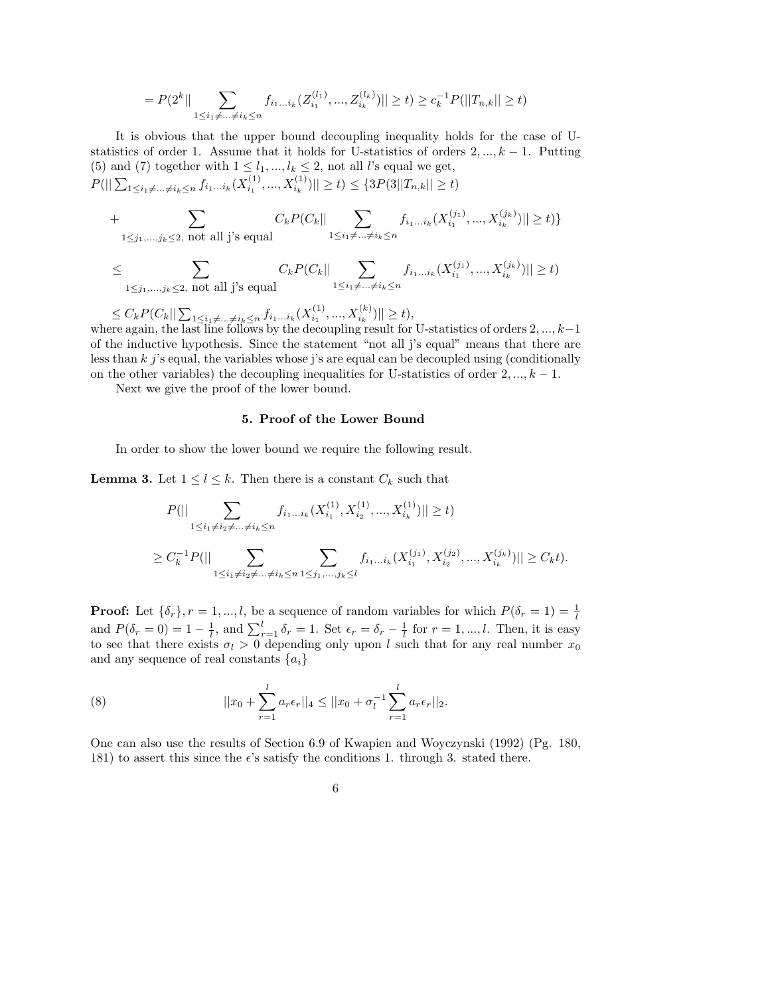$$
= P(2^k || \sum_{1 \le i_1 \ne \dots \ne i_k \le n} f_{i_1 \dots i_k} (Z_{i_1}^{(l_1)}, ..., Z_{i_k}^{(l_k)}) || \ge t) \ge c_k^{-1} P(||T_{n,k}|| \ge t)
$$

It is obvious that the upper bound decoupling inequality holds for the case of Ustatistics of order 1. Assume that it holds for U-statistics of orders  $2, ..., k - 1$ . Putting (5) and (7) together with  $1 \leq l_1, ..., l_k \leq 2$ , not all *l*'s equal we get,  $P(||\sum_{1\leq i_1\neq...\neq i_k\leq n}f_{i_1...i_k}(X_{i_1}^{(1)})$  $\{S_{i_1}^{(1)},...,X_{i_k}^{(1)})\}\geq t\leq \{3P(3||T_{n,k}||\geq t)\}$ 

+ 
$$
\sum_{1 \leq j_1, \dots, j_k \leq 2, \text{ not all } j \text{'s equal}} C_k P(C_k || \sum_{1 \leq i_1 \neq \dots \neq i_k \leq n} f_{i_1 \dots i_k} (X_{i_1}^{(j_1)}, ..., X_{i_k}^{(j_k)}) || \geq t) \}
$$

$$
\leq \sum_{1 \leq j_1, \dots, j_k \leq 2, \text{ not all } j \text{'s equal}} C_k P(C_k || \sum_{1 \leq i_1 \neq \dots \neq i_k \leq n} f_{i_1 \dots i_k}(X_{i_1}^{(j_1)}, ..., X_{i_k}^{(j_k)}) || \geq t)
$$

 $\leq C_k P(C_k || \sum_{1 \leq i_1 \neq ... \neq i_k \leq n} f_{i_1...i_k}(X_{i_1}^{(1)})$  $\vert x_1^{(1)},...,X_{i_k}^{(k)}) \vert \vert \geq t$ ,

where again, the last line follows by the decoupling result for U-statistics of orders  $2, ..., k-1$ of the inductive hypothesis. Since the statement "not all j's equal" means that there are less than  $k$  j's equal, the variables whose j's are equal can be decoupled using (conditionally on the other variables) the decoupling inequalities for U-statistics of order  $2, ..., k - 1$ .

Next we give the proof of the lower bound.

### 5. Proof of the Lower Bound

In order to show the lower bound we require the following result.

**Lemma 3.** Let  $1 \leq l \leq k$ . Then there is a constant  $C_k$  such that

$$
P(||\sum_{1 \le i_1 \ne i_2 \ne \dots \ne i_k \le n} f_{i_1 \dots i_k}(X_{i_1}^{(1)}, X_{i_2}^{(1)}, ..., X_{i_k}^{(1)})|| \ge t)
$$
  

$$
\ge C_k^{-1} P(||\sum_{1 \le i_1 \ne i_2 \ne \dots \ne i_k \le n} \sum_{1 \le j_1, ..., j_k \le l} f_{i_1 \dots i_k}(X_{i_1}^{(j_1)}, X_{i_2}^{(j_2)}, ..., X_{i_k}^{(j_k)})|| \ge C_k t).
$$

**Proof:** Let  $\{\delta_r\}, r = 1, ..., l$ , be a sequence of random variables for which  $P(\delta_r = 1) = \frac{1}{l}$ and  $P(\delta_r = 0) = 1 - \frac{1}{l}$  $\frac{1}{l}$ , and  $\sum_{r=1}^{l} \delta_r = 1$ . Set  $\epsilon_r = \delta_r - \frac{1}{l}$  $\frac{1}{l}$  for  $r = 1, ..., l$ . Then, it is easy to see that there exists  $\sigma_l > 0$  depending only upon l such that for any real number  $x_0$ and any sequence of real constants  $\{a_i\}$ 

(8) 
$$
||x_0 + \sum_{r=1}^l a_r \epsilon_r||_4 \le ||x_0 + \sigma_l^{-1} \sum_{r=1}^l a_r \epsilon_r||_2.
$$

One can also use the results of Section 6.9 of Kwapien and Woyczynski (1992) (Pg. 180, 181) to assert this since the  $\epsilon$ 's satisfy the conditions 1. through 3. stated there.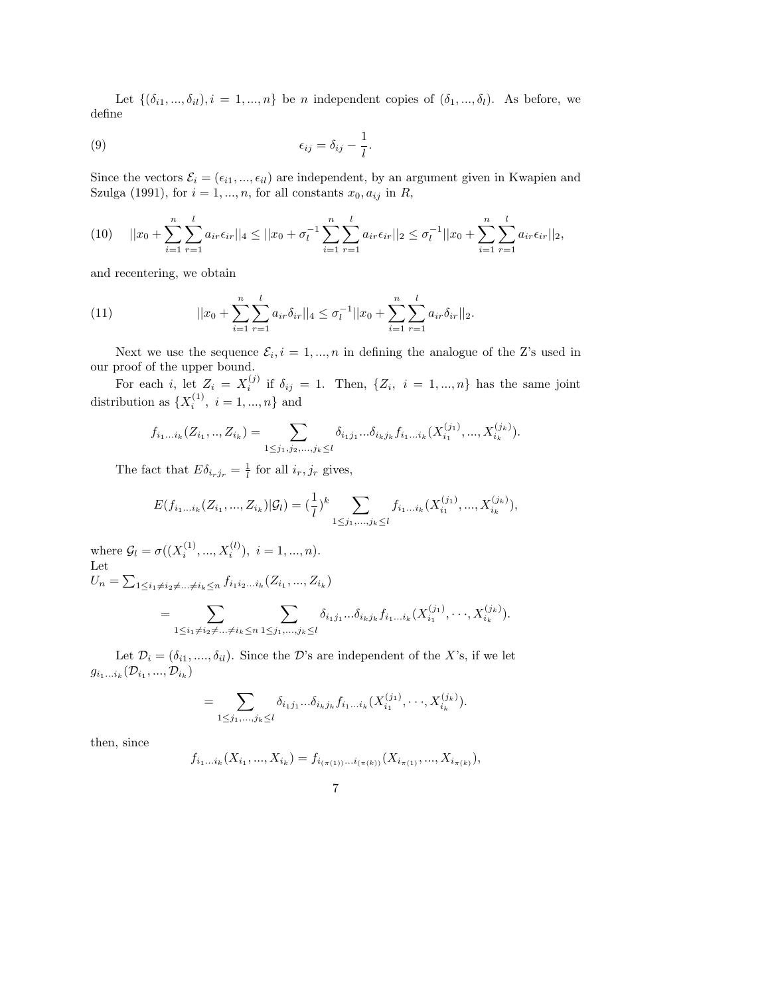Let  $\{(\delta_{i1}, ..., \delta_{il}), i = 1, ..., n\}$  be *n* independent copies of  $(\delta_1, ..., \delta_l)$ . As before, we define

(9) 
$$
\epsilon_{ij} = \delta_{ij} - \frac{1}{l}.
$$

Since the vectors  $\mathcal{E}_i = (\epsilon_{i1}, ..., \epsilon_{il})$  are independent, by an argument given in Kwapien and Szulga (1991), for  $i = 1, ..., n$ , for all constants  $x_0, a_{ij}$  in R,

$$
(10) \t||x_0 + \sum_{i=1}^n \sum_{r=1}^l a_{ir} \epsilon_{ir} ||_4 \le ||x_0 + \sigma_l^{-1} \sum_{i=1}^n \sum_{r=1}^l a_{ir} \epsilon_{ir} ||_2 \le \sigma_l^{-1} ||x_0 + \sum_{i=1}^n \sum_{r=1}^l a_{ir} \epsilon_{ir} ||_2,
$$

and recentering, we obtain

(11) 
$$
||x_0 + \sum_{i=1}^n \sum_{r=1}^l a_{ir} \delta_{ir}||_4 \leq \sigma_l^{-1} ||x_0 + \sum_{i=1}^n \sum_{r=1}^l a_{ir} \delta_{ir}||_2.
$$

Next we use the sequence  $\mathcal{E}_i$ ,  $i = 1, ..., n$  in defining the analogue of the Z's used in our proof of the upper bound.

For each *i*, let  $Z_i = X_i^{(j)}$  $i^{(j)}$  if  $\delta_{ij} = 1$ . Then,  $\{Z_i, i = 1, ..., n\}$  has the same joint distribution as  $\{X_i^{(1)}\}$  $i^{(1)}$ ,  $i = 1, ..., n$ } and

$$
f_{i_1...i_k}(Z_{i_1},...,Z_{i_k}) = \sum_{1 \leq j_1,j_2,...,j_k \leq l} \delta_{i_1j_1}...\delta_{i_kj_k} f_{i_1...i_k}(X_{i_1}^{(j_1)},...,X_{i_k}^{(j_k)}).
$$

The fact that  $E\delta_{i_rj_r} = \frac{1}{l}$  $\frac{1}{l}$  for all  $i_r, j_r$  gives,

$$
E(f_{i_1...i_k}(Z_{i_1},...,Z_{i_k})|\mathcal{G}_l) = (\frac{1}{l})^k \sum_{1 \leq j_1,...,j_k \leq l} f_{i_1...i_k}(X_{i_1}^{(j_1)},...,X_{i_k}^{(j_k)}),
$$

where  $\mathcal{G}_l = \sigma((X_i^{(1)})$  $i^{(1)},...,X_i^{(l)}), i=1,...,n).$ Let  $U_n = \sum_{1 \leq i_1 \neq i_2 \neq ... \neq i_k \leq n} f_{i_1 i_2 ... i_k} (Z_{i_1}, ..., Z_{i_k})$ 

$$
= \sum_{1 \leq i_1 \neq i_2 \neq \ldots \neq i_k \leq n} \sum_{1 \leq j_1, \ldots, j_k \leq l} \delta_{i_1 j_1} \ldots \delta_{i_k j_k} f_{i_1 \ldots i_k} (X_{i_1}^{(j_1)}, \ldots, X_{i_k}^{(j_k)}).
$$

Let  $\mathcal{D}_i = (\delta_{i1}, \ldots, \delta_{il})$ . Since the D's are independent of the X's, if we let  $g_{i_1...i_k}(\mathcal{D}_{i_1},...,\mathcal{D}_{i_k})$ 

$$
= \sum_{1 \leq j_1, \ldots, j_k \leq l} \delta_{i_1 j_1} \ldots \delta_{i_k j_k} f_{i_1 \ldots i_k} (X_{i_1}^{(j_1)}, \ldots, X_{i_k}^{(j_k)}).
$$

then, since

$$
f_{i_1...i_k}(X_{i_1},...,X_{i_k}) = f_{i_{(\pi(1))}...i_{(\pi(k))}}(X_{i_{\pi(1)}},...,X_{i_{\pi(k)}}),
$$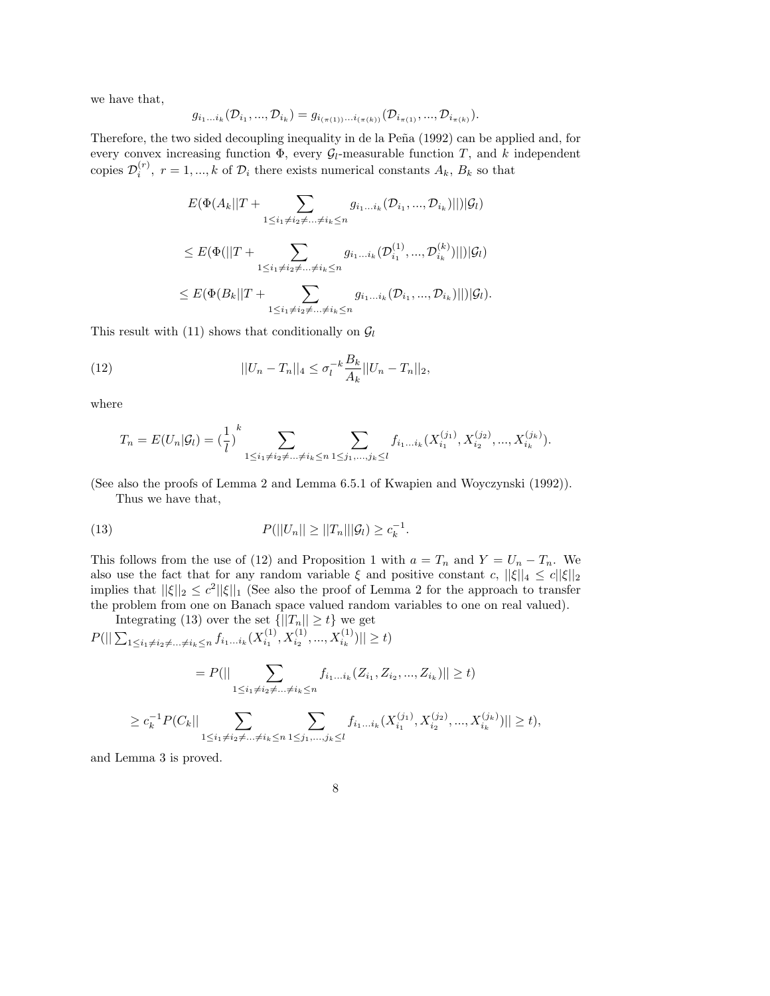we have that,

$$
g_{i_1...i_k}(\mathcal{D}_{i_1},...,\mathcal{D}_{i_k})=g_{i_{(\pi(1))}...i_{(\pi(k))}}(\mathcal{D}_{i_{\pi(1)}},...,\mathcal{D}_{i_{\pi(k)}}).
$$

Therefore, the two sided decoupling inequality in de la Peña (1992) can be applied and, for every convex increasing function  $\Phi$ , every  $\mathcal{G}_l$ -measurable function T, and k independent copies  $\mathcal{D}_i^{(r)}$  $i_i^{(r)}$ ,  $r = 1, ..., k$  of  $\mathcal{D}_i$  there exists numerical constants  $A_k$ ,  $B_k$  so that

$$
E(\Phi(A_k||T + \sum_{1 \leq i_1 \neq i_2 \neq \dots \neq i_k \leq n} g_{i_1 \dots i_k}(\mathcal{D}_{i_1}, \dots, \mathcal{D}_{i_k})||)|\mathcal{G}_l)
$$
  

$$
\leq E(\Phi(||T + \sum_{1 \leq i_1 \neq i_2 \neq \dots \neq i_k \leq n} g_{i_1 \dots i_k}(\mathcal{D}_{i_1}^{(1)}, \dots, \mathcal{D}_{i_k}^{(k)})||)|\mathcal{G}_l)
$$
  

$$
\leq E(\Phi(B_k||T + \sum_{1 \leq i_1 \neq i_2 \neq \dots \neq i_k \leq n} g_{i_1 \dots i_k}(\mathcal{D}_{i_1}, \dots, \mathcal{D}_{i_k})||)|\mathcal{G}_l).
$$

This result with (11) shows that conditionally on  $\mathcal{G}_l$ 

(12) 
$$
||U_n - T_n||_4 \le \sigma_l^{-k} \frac{B_k}{A_k} ||U_n - T_n||_2,
$$

where

$$
T_n = E(U_n | \mathcal{G}_l) = \left(\frac{1}{l}\right)^k \sum_{1 \le i_1 \ne i_2 \ne \dots \ne i_k \le n} \sum_{1 \le j_1, \dots, j_k \le l} f_{i_1 \dots i_k}(X_{i_1}^{(j_1)}, X_{i_2}^{(j_2)}, \dots, X_{i_k}^{(j_k)}).
$$

(See also the proofs of Lemma 2 and Lemma 6.5.1 of Kwapien and Woyczynski (1992)). Thus we have that,

(13) 
$$
P(||U_n|| \ge ||T_n|| |\mathcal{G}_l) \ge c_k^{-1}.
$$

This follows from the use of (12) and Proposition 1 with  $a = T_n$  and  $Y = U_n - T_n$ . We also use the fact that for any random variable  $\xi$  and positive constant c,  $||\xi||_4 \le c||\xi||_2$ implies that  $||\xi||_2 \leq c^2 ||\xi||_1$  (See also the proof of Lemma 2 for the approach to transfer the problem from one on Banach space valued random variables to one on real valued).

Integrating (13) over the set  $\{||T_n|| \ge t\}$  we get  $P(||\sum_{1\leq i_1\neq i_2\neq...\neq i_k\leq n}f_{i_1...i_k}(X_{i_1}^{(1)})$  $\vert x_1^{(1)}, X_{i_2}^{(1)}, ..., X_{i_k}^{(1)}) \vert \vert \geq t$ 

$$
= P(|| \sum_{1 \le i_1 \ne i_2 \ne \dots \ne i_k \le n} f_{i_1 \dots i_k} (Z_{i_1}, Z_{i_2}, \dots, Z_{i_k}) || \ge t)
$$

$$
\geq c_k^{-1} P(C_k || \sum_{1 \leq i_1 \neq i_2 \neq \ldots \neq i_k \leq n} \sum_{1 \leq j_1, \ldots, j_k \leq l} f_{i_1 \ldots i_k}(X_{i_1}^{(j_1)}, X_{i_2}^{(j_2)}, \ldots, X_{i_k}^{(j_k)}) || \geq t),
$$

and Lemma 3 is proved.

8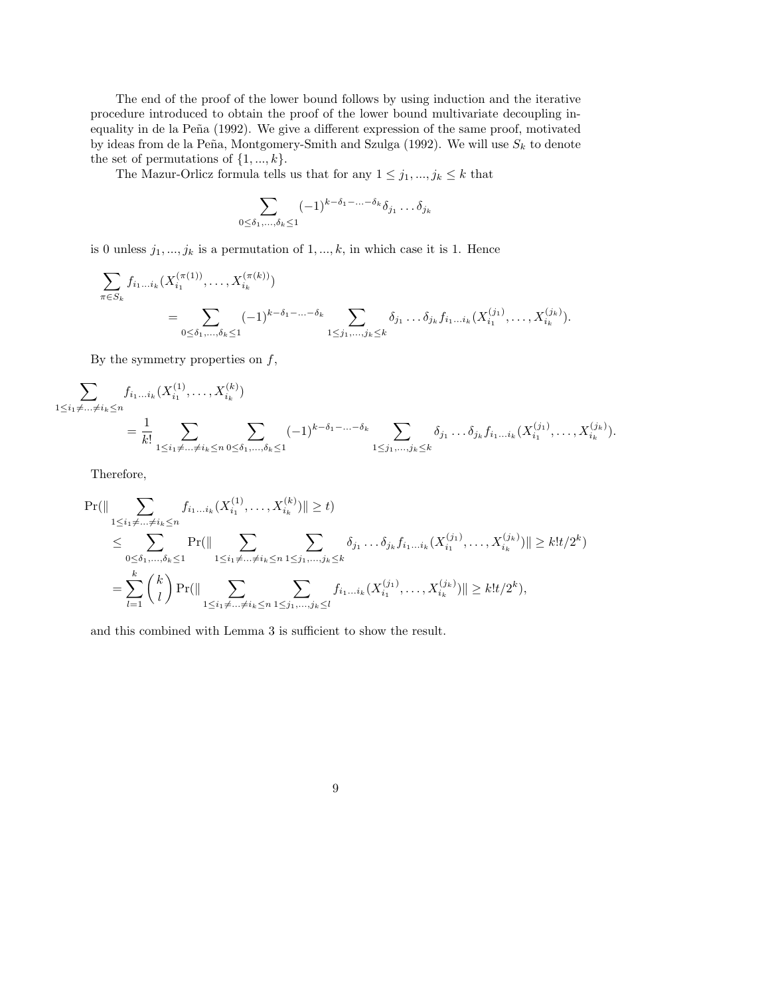The end of the proof of the lower bound follows by using induction and the iterative procedure introduced to obtain the proof of the lower bound multivariate decoupling inequality in de la Peña (1992). We give a different expression of the same proof, motivated by ideas from de la Peña, Montgomery-Smith and Szulga (1992). We will use  $S_k$  to denote the set of permutations of  $\{1, ..., k\}$ .

The Mazur-Orlicz formula tells us that for any  $1\leq j_1,...,j_k\leq k$  that

$$
\sum_{0 \leq \delta_1, \ldots, \delta_k \leq 1} (-1)^{k-\delta_1-\ldots-\delta_k} \delta_{j_1} \ldots \delta_{j_k}
$$

is 0 unless  $j_1, ..., j_k$  is a permutation of  $1, ..., k$ , in which case it is 1. Hence

$$
\sum_{\pi \in S_k} f_{i_1...i_k} (X_{i_1}^{(\pi(1))}, \dots, X_{i_k}^{(\pi(k))})
$$
\n
$$
= \sum_{0 \le \delta_1, \dots, \delta_k \le 1} (-1)^{k - \delta_1 - \dots - \delta_k} \sum_{1 \le j_1, \dots, j_k \le k} \delta_{j_1} \dots \delta_{j_k} f_{i_1...i_k} (X_{i_1}^{(j_1)}, \dots, X_{i_k}^{(j_k)}).
$$

By the symmetry properties on  $f$ ,

$$
\sum_{1 \leq i_1 \neq \ldots \neq i_k \leq n} f_{i_1 \ldots i_k}(X_{i_1}^{(1)}, \ldots, X_{i_k}^{(k)})
$$
\n
$$
= \frac{1}{k!} \sum_{1 \leq i_1 \neq \ldots \neq i_k \leq n} \sum_{0 \leq \delta_1, \ldots, \delta_k \leq 1} (-1)^{k-\delta_1-\ldots-\delta_k} \sum_{1 \leq j_1, \ldots, j_k \leq k} \delta_{j_1} \ldots \delta_{j_k} f_{i_1 \ldots i_k}(X_{i_1}^{(j_1)}, \ldots, X_{i_k}^{(j_k)}).
$$

Therefore,

$$
\Pr(\|\sum_{1\leq i_1\neq\ldots\neq i_k\leq n} f_{i_1\ldots i_k}(X_{i_1}^{(1)},\ldots,X_{i_k}^{(k)})\| \geq t)
$$
\n
$$
\leq \sum_{0\leq\delta_1,\ldots,\delta_k\leq 1} \Pr(\|\sum_{1\leq i_1\neq\ldots\neq i_k\leq n} \sum_{1\leq j_1,\ldots,j_k\leq k} \delta_{j_1}\ldots\delta_{j_k} f_{i_1\ldots i_k}(X_{i_1}^{(j_1)},\ldots,X_{i_k}^{(j_k)})\| \geq k!t/2^k)
$$
\n
$$
= \sum_{l=1}^k {k \choose l} \Pr(\|\sum_{1\leq i_1\neq\ldots\neq i_k\leq n} \sum_{1\leq j_1,\ldots,j_k\leq l} f_{i_1\ldots i_k}(X_{i_1}^{(j_1)},\ldots,X_{i_k}^{(j_k)})\| \geq k!t/2^k),
$$

and this combined with Lemma 3 is sufficient to show the result.